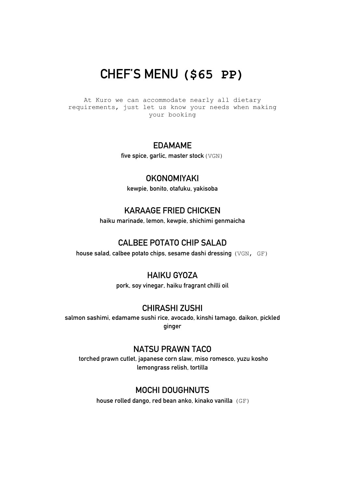## **CHEF'S MENU (\$65 PP)**

At Kuro we can accommodate nearly all dietary requirements, just let us know your needs when making your booking

## **EDAMAME**

**five spice, garlic, master stock**(VGN)

### **OKONOMIYAKI**

**kewpie, bonito, otafuku, yakisoba**

## **KARAAGE FRIED CHICKEN**

**haiku marinade, lemon, kewpie, shichimi genmaicha**

### **CALBEE POTATO CHIP SALAD**

**house salad, calbee potato chips, sesame dashi dressing** (VGN, GF)

### **HAIKU GYOZA**

**pork, soy vinegar, haiku fragrant chilli oil** 

### **CHIRASHI ZUSHI**

**salmon sashimi, edamame sushi rice, avocado, kinshi tamago, daikon, pickled ginger**

### **NATSU PRAWN TACO**

**torched prawn cutlet, japanese corn slaw, miso romesco, yuzu kosho lemongrass relish, tortilla** 

## **MOCHI DOUGHNUTS**

**house rolled dango, red bean anko, kinako vanilla** (GF)